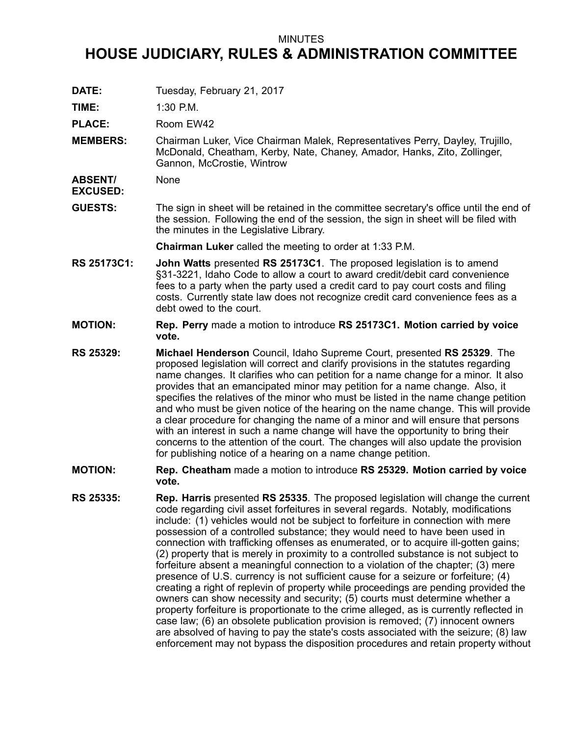## MINUTES

## **HOUSE JUDICIARY, RULES & ADMINISTRATION COMMITTEE**

**DATE:** Tuesday, February 21, 2017

**TIME:** 1:30 P.M.

PLACE: Room EW42

**MEMBERS:** Chairman Luker, Vice Chairman Malek, Representatives Perry, Dayley, Trujillo, McDonald, Cheatham, Kerby, Nate, Chaney, Amador, Hanks, Zito, Zollinger, Gannon, McCrostie, Wintrow

**ABSENT/ EXCUSED:** None

**GUESTS:** The sign in sheet will be retained in the committee secretary's office until the end of the session. Following the end of the session, the sign in sheet will be filed with the minutes in the Legislative Library.

**Chairman Luker** called the meeting to order at 1:33 P.M.

- **RS 25173C1: John Watts** presented **RS 25173C1**. The proposed legislation is to amend §31-3221, Idaho Code to allow a court to award credit/debit card convenience fees to <sup>a</sup> party when the party used <sup>a</sup> credit card to pay court costs and filing costs. Currently state law does not recognize credit card convenience fees as <sup>a</sup> debt owed to the court.
- **MOTION: Rep. Perry** made <sup>a</sup> motion to introduce **RS 25173C1. Motion carried by voice vote.**
- **RS 25329: Michael Henderson** Council, Idaho Supreme Court, presented **RS 25329**. The proposed legislation will correct and clarify provisions in the statutes regarding name changes. It clarifies who can petition for <sup>a</sup> name change for <sup>a</sup> minor. It also provides that an emancipated minor may petition for <sup>a</sup> name change. Also, it specifies the relatives of the minor who must be listed in the name change petition and who must be given notice of the hearing on the name change. This will provide <sup>a</sup> clear procedure for changing the name of <sup>a</sup> minor and will ensure that persons with an interest in such <sup>a</sup> name change will have the opportunity to bring their concerns to the attention of the court. The changes will also update the provision for publishing notice of <sup>a</sup> hearing on <sup>a</sup> name change petition.
- **MOTION: Rep. Cheatham** made <sup>a</sup> motion to introduce **RS 25329. Motion carried by voice vote.**
- **RS 25335: Rep. Harris** presented **RS 25335**. The proposed legislation will change the current code regarding civil asset forfeitures in several regards. Notably, modifications include: (1) vehicles would not be subject to forfeiture in connection with mere possession of <sup>a</sup> controlled substance; they would need to have been used in connection with trafficking offenses as enumerated, or to acquire ill-gotten gains; (2) property that is merely in proximity to <sup>a</sup> controlled substance is not subject to forfeiture absent <sup>a</sup> meaningful connection to <sup>a</sup> violation of the chapter; (3) mere presence of U.S. currency is not sufficient cause for <sup>a</sup> seizure or forfeiture; (4) creating <sup>a</sup> right of replevin of property while proceedings are pending provided the owners can show necessity and security; (5) courts must determine whether <sup>a</sup> property forfeiture is proportionate to the crime alleged, as is currently reflected in case law; (6) an obsolete publication provision is removed; (7) innocent owners are absolved of having to pay the state's costs associated with the seizure; (8) law enforcement may not bypass the disposition procedures and retain property without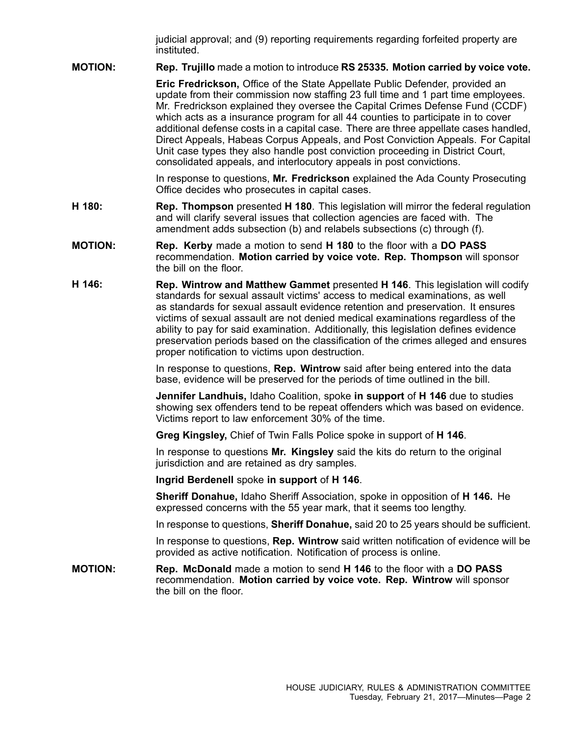judicial approval; and (9) reporting requirements regarding forfeited property are instituted.

## **MOTION: Rep. Trujillo** made <sup>a</sup> motion to introduce **RS 25335. Motion carried by voice vote.**

**Eric Fredrickson,** Office of the State Appellate Public Defender, provided an update from their commission now staffing 23 full time and 1 part time employees. Mr. Fredrickson explained they oversee the Capital Crimes Defense Fund (CCDF) which acts as <sup>a</sup> insurance program for all 44 counties to participate in to cover additional defense costs in <sup>a</sup> capital case. There are three appellate cases handled, Direct Appeals, Habeas Corpus Appeals, and Post Conviction Appeals. For Capital Unit case types they also handle post conviction proceeding in District Court, consolidated appeals, and interlocutory appeals in post convictions.

In response to questions, **Mr. Fredrickson** explained the Ada County Prosecuting Office decides who prosecutes in capital cases.

- **H 180: Rep. Thompson** presented **H 180**. This legislation will mirror the federal regulation and will clarify several issues that collection agencies are faced with. The amendment adds subsection (b) and relabels subsections (c) through (f).
- **MOTION: Rep. Kerby** made <sup>a</sup> motion to send **H 180** to the floor with <sup>a</sup> **DO PASS** recommendation. **Motion carried by voice vote. Rep. Thompson** will sponsor the bill on the floor.
- **H 146: Rep. Wintrow and Matthew Gammet** presented **H 146**. This legislation will codify standards for sexual assault victims' access to medical examinations, as well as standards for sexual assault evidence retention and preservation. It ensures victims of sexual assault are not denied medical examinations regardless of the ability to pay for said examination. Additionally, this legislation defines evidence preservation periods based on the classification of the crimes alleged and ensures proper notification to victims upon destruction.

In response to questions, **Rep. Wintrow** said after being entered into the data base, evidence will be preserved for the periods of time outlined in the bill.

**Jennifer Landhuis,** Idaho Coalition, spoke **in support** of **H 146** due to studies showing sex offenders tend to be repeat offenders which was based on evidence. Victims report to law enforcement 30% of the time.

**Greg Kingsley,** Chief of Twin Falls Police spoke in support of **H 146**.

In response to questions **Mr. Kingsley** said the kits do return to the original jurisdiction and are retained as dry samples.

**Ingrid Berdenell** spoke **in support** of **H 146**.

**Sheriff Donahue,** Idaho Sheriff Association, spoke in opposition of **H 146.** He expressed concerns with the 55 year mark, that it seems too lengthy.

In response to questions, **Sheriff Donahue,** said 20 to 25 years should be sufficient.

In response to questions, **Rep. Wintrow** said written notification of evidence will be provided as active notification. Notification of process is online.

**MOTION: Rep. McDonald** made <sup>a</sup> motion to send **H 146** to the floor with <sup>a</sup> **DO PASS** recommendation. **Motion carried by voice vote. Rep. Wintrow** will sponsor the bill on the floor.